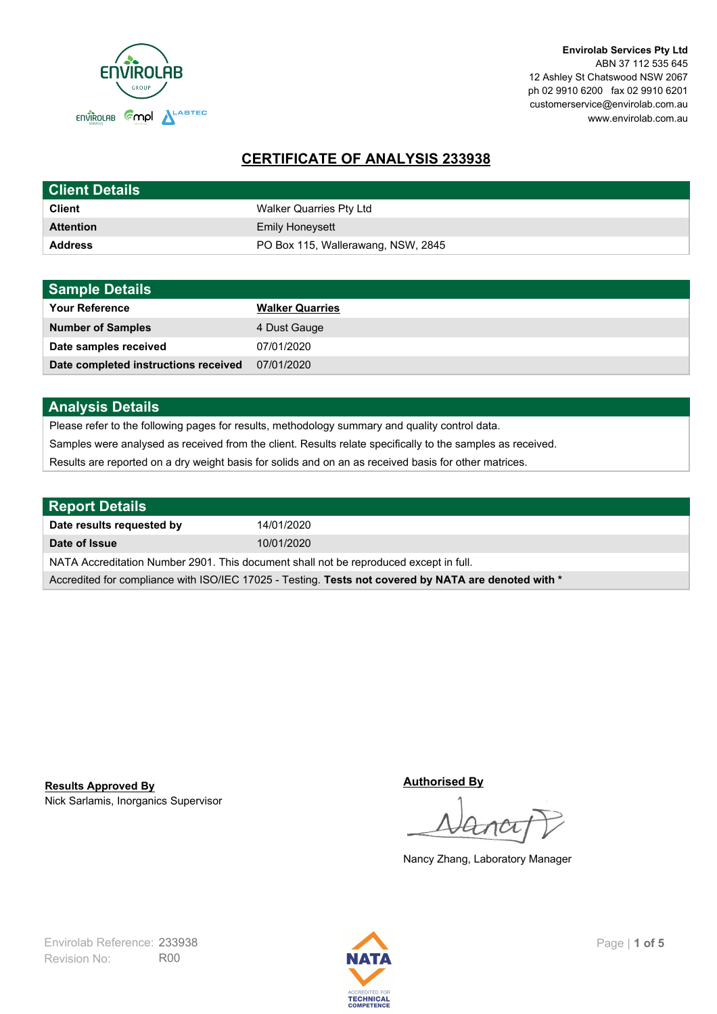

**Envirolab Services Pty Ltd** ABN 37 112 535 645 12 Ashley St Chatswood NSW 2067 ph 02 9910 6200 fax 02 9910 6201 customerservice@envirolab.com.au www.envirolab.com.au

# **CERTIFICATE OF ANALYSIS 233938**

| <b>Client Details</b> |                                    |
|-----------------------|------------------------------------|
| <b>Client</b>         | Walker Quarries Pty Ltd            |
| <b>Attention</b>      | <b>Emily Honeysett</b>             |
| <b>Address</b>        | PO Box 115, Wallerawang, NSW, 2845 |

| <b>Sample Details</b>                |                        |
|--------------------------------------|------------------------|
| <b>Your Reference</b>                | <b>Walker Quarries</b> |
| <b>Number of Samples</b>             | 4 Dust Gauge           |
| Date samples received                | 07/01/2020             |
| Date completed instructions received | 07/01/2020             |

## **Analysis Details**

Please refer to the following pages for results, methodology summary and quality control data.

Samples were analysed as received from the client. Results relate specifically to the samples as received.

Results are reported on a dry weight basis for solids and on an as received basis for other matrices.

| <b>Report Details</b>                                                                                |            |  |
|------------------------------------------------------------------------------------------------------|------------|--|
| Date results requested by                                                                            | 14/01/2020 |  |
| Date of Issue                                                                                        | 10/01/2020 |  |
| NATA Accreditation Number 2901. This document shall not be reproduced except in full.                |            |  |
| Accredited for compliance with ISO/IEC 17025 - Testing. Tests not covered by NATA are denoted with * |            |  |

Nick Sarlamis, Inorganics Supervisor **Results Approved By**

**Authorised By**

Nancy Zhang, Laboratory Manager

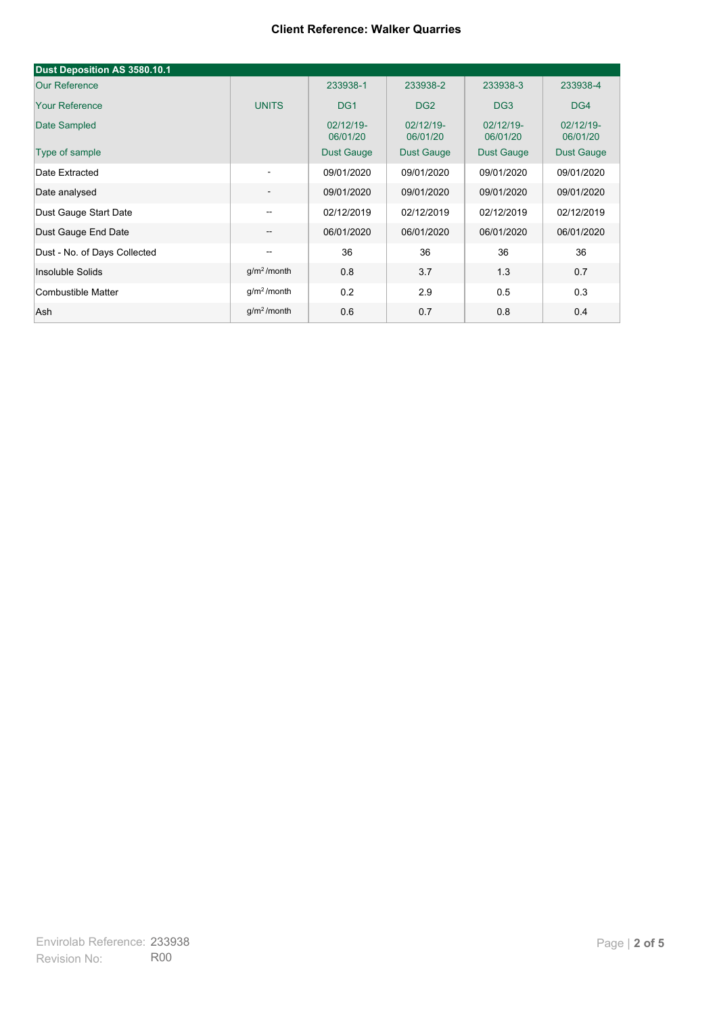#### **Client Reference: Walker Quarries**

| Dust Deposition AS 3580.10.1 |                          |                       |                       |                       |                       |
|------------------------------|--------------------------|-----------------------|-----------------------|-----------------------|-----------------------|
| <b>Our Reference</b>         |                          | 233938-1              | 233938-2              | 233938-3              | 233938-4              |
| <b>Your Reference</b>        | <b>UNITS</b>             | DG <sub>1</sub>       | DG <sub>2</sub>       | DG <sub>3</sub>       | DG4                   |
| Date Sampled                 |                          | 02/12/19-<br>06/01/20 | 02/12/19-<br>06/01/20 | 02/12/19-<br>06/01/20 | 02/12/19-<br>06/01/20 |
| Type of sample               |                          | <b>Dust Gauge</b>     | <b>Dust Gauge</b>     | <b>Dust Gauge</b>     | Dust Gauge            |
| Date Extracted               | $\overline{\phantom{a}}$ | 09/01/2020            | 09/01/2020            | 09/01/2020            | 09/01/2020            |
| Date analysed                | -                        | 09/01/2020            | 09/01/2020            | 09/01/2020            | 09/01/2020            |
| Dust Gauge Start Date        | --                       | 02/12/2019            | 02/12/2019            | 02/12/2019            | 02/12/2019            |
| Dust Gauge End Date          | $\overline{\phantom{a}}$ | 06/01/2020            | 06/01/2020            | 06/01/2020            | 06/01/2020            |
| Dust - No. of Days Collected | $\overline{\phantom{m}}$ | 36                    | 36                    | 36                    | 36                    |
| Insoluble Solids             | g/m <sup>2</sup> /month  | 0.8                   | 3.7                   | 1.3                   | 0.7                   |
| Combustible Matter           | g/m <sup>2</sup> /month  | 0.2                   | 2.9                   | 0.5                   | 0.3                   |
| Ash                          | g/m <sup>2</sup> /month  | 0.6                   | 0.7                   | 0.8                   | 0.4                   |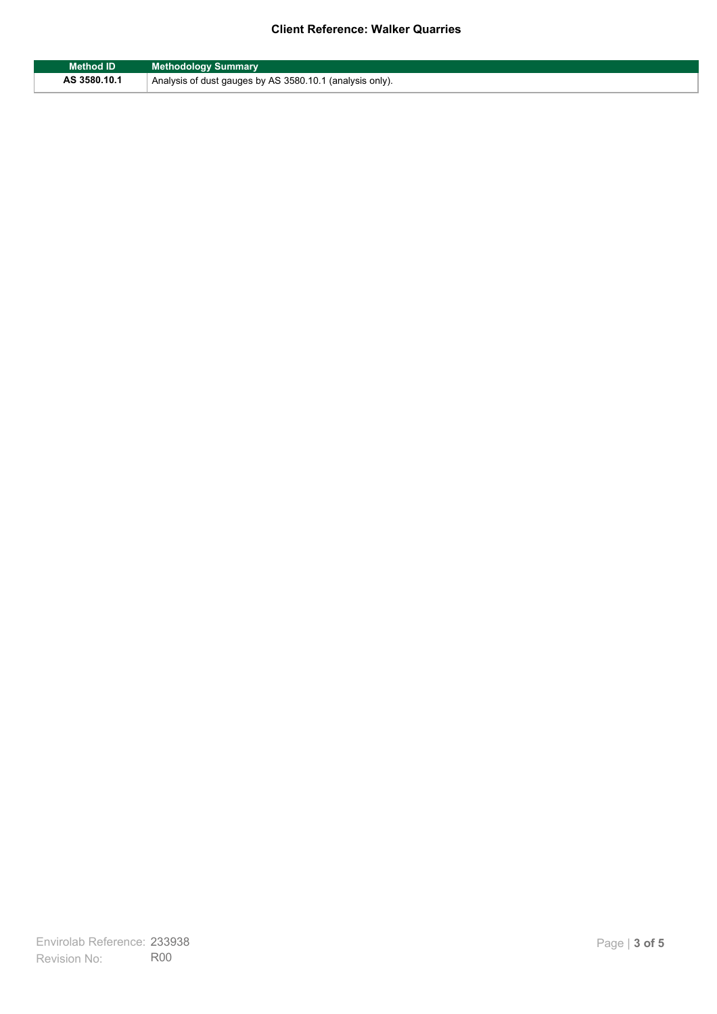## **Client Reference: Walker Quarries**

| Method ID    | <b>Methodology Summary</b>                               |
|--------------|----------------------------------------------------------|
| AS 3580.10.1 | Analysis of dust gauges by AS 3580.10.1 (analysis only). |

F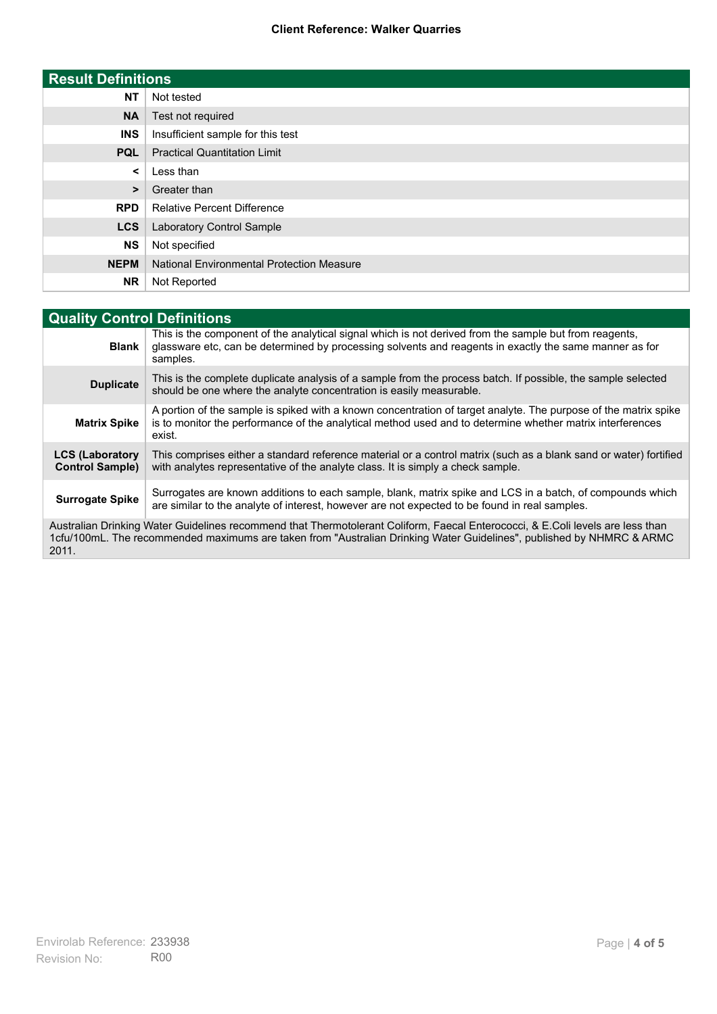### **Client Reference: Walker Quarries**

| <b>Result Definitions</b> |                                                  |
|---------------------------|--------------------------------------------------|
| <b>NT</b>                 | Not tested                                       |
| <b>NA</b>                 | Test not required                                |
| <b>INS</b>                | Insufficient sample for this test                |
| <b>PQL</b>                | <b>Practical Quantitation Limit</b>              |
| $\prec$                   | Less than                                        |
| $\geq$                    | Greater than                                     |
| <b>RPD</b>                | <b>Relative Percent Difference</b>               |
| <b>LCS</b>                | Laboratory Control Sample                        |
| <b>NS</b>                 | Not specified                                    |
| <b>NEPM</b>               | <b>National Environmental Protection Measure</b> |
| <b>NR</b>                 | Not Reported                                     |

| <b>Quality Control Definitions</b>                                                                                                                                                                                                                      |                                                                                                                                                                                                                                        |  |
|---------------------------------------------------------------------------------------------------------------------------------------------------------------------------------------------------------------------------------------------------------|----------------------------------------------------------------------------------------------------------------------------------------------------------------------------------------------------------------------------------------|--|
| <b>Blank</b>                                                                                                                                                                                                                                            | This is the component of the analytical signal which is not derived from the sample but from reagents,<br>glassware etc, can be determined by processing solvents and reagents in exactly the same manner as for<br>samples.           |  |
| <b>Duplicate</b>                                                                                                                                                                                                                                        | This is the complete duplicate analysis of a sample from the process batch. If possible, the sample selected<br>should be one where the analyte concentration is easily measurable.                                                    |  |
| <b>Matrix Spike</b>                                                                                                                                                                                                                                     | A portion of the sample is spiked with a known concentration of target analyte. The purpose of the matrix spike<br>is to monitor the performance of the analytical method used and to determine whether matrix interferences<br>exist. |  |
| <b>LCS (Laboratory</b><br><b>Control Sample)</b>                                                                                                                                                                                                        | This comprises either a standard reference material or a control matrix (such as a blank sand or water) fortified<br>with analytes representative of the analyte class. It is simply a check sample.                                   |  |
| <b>Surrogate Spike</b>                                                                                                                                                                                                                                  | Surrogates are known additions to each sample, blank, matrix spike and LCS in a batch, of compounds which<br>are similar to the analyte of interest, however are not expected to be found in real samples.                             |  |
| Australian Drinking Water Guidelines recommend that Thermotolerant Coliform, Faecal Enterococci, & E.Coli levels are less than<br>1cfu/100mL. The recommended maximums are taken from "Australian Drinking Water Guidelines", published by NHMRC & ARMC |                                                                                                                                                                                                                                        |  |

2011.